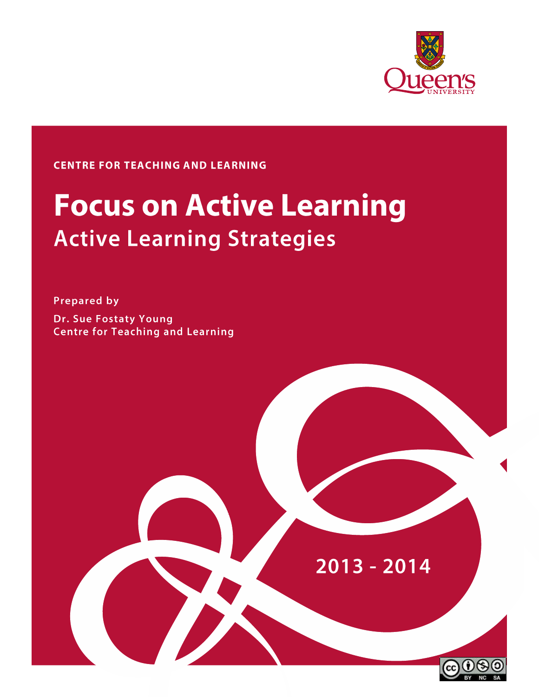

# **CENTRE FOR TEACHING AND LEARNING**

# **Focus on Active Learning Active Learning Strategies**

**Prepared by Dr. Sue Fostaty Young Centre for Teaching and Learning** 

# $2013 - 2014$

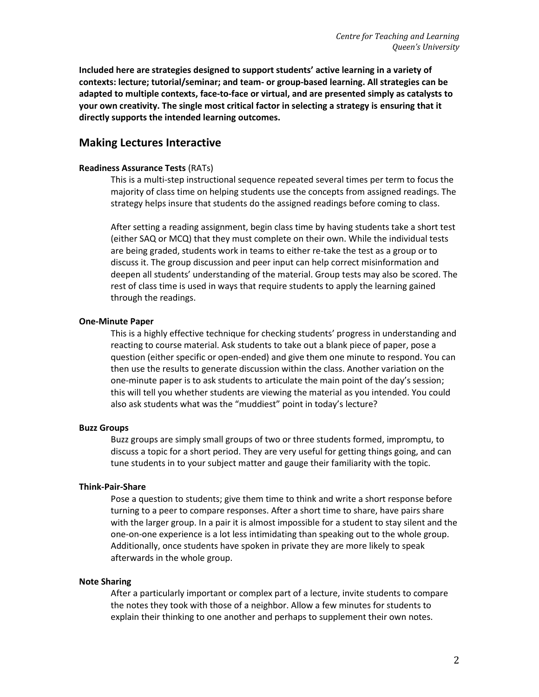**Included here are strategies designed to support students' active learning in a variety of contexts: lecture; tutorial/seminar; and team- or group-based learning. All strategies can be adapted to multiple contexts, face-to-face or virtual, and are presented simply as catalysts to your own creativity. The single most critical factor in selecting a strategy is ensuring that it directly supports the intended learning outcomes.** 

## **Making Lectures Interactive**

#### **Readiness Assurance Tests** (RATs)

This is a multi-step instructional sequence repeated several times per term to focus the majority of class time on helping students use the concepts from assigned readings. The strategy helps insure that students do the assigned readings before coming to class.

After setting a reading assignment, begin class time by having students take a short test (either SAQ or MCQ) that they must complete on their own. While the individual tests are being graded, students work in teams to either re-take the test as a group or to discuss it. The group discussion and peer input can help correct misinformation and deepen all students' understanding of the material. Group tests may also be scored. The rest of class time is used in ways that require students to apply the learning gained through the readings.

#### **One-Minute Paper**

This is a highly effective technique for checking students' progress in understanding and reacting to course material. Ask students to take out a blank piece of paper, pose a question (either specific or open-ended) and give them one minute to respond. You can then use the results to generate discussion within the class. Another variation on the one-minute paper is to ask students to articulate the main point of the day's session; this will tell you whether students are viewing the material as you intended. You could also ask students what was the "muddiest" point in today's lecture?

#### **Buzz Groups**

Buzz groups are simply small groups of two or three students formed, impromptu, to discuss a topic for a short period. They are very useful for getting things going, and can tune students in to your subject matter and gauge their familiarity with the topic.

#### **Think-Pair-Share**

Pose a question to students; give them time to think and write a short response before turning to a peer to compare responses. After a short time to share, have pairs share with the larger group. In a pair it is almost impossible for a student to stay silent and the one-on-one experience is a lot less intimidating than speaking out to the whole group. Additionally, once students have spoken in private they are more likely to speak afterwards in the whole group.

#### **Note Sharing**

After a particularly important or complex part of a lecture, invite students to compare the notes they took with those of a neighbor. Allow a few minutes for students to explain their thinking to one another and perhaps to supplement their own notes.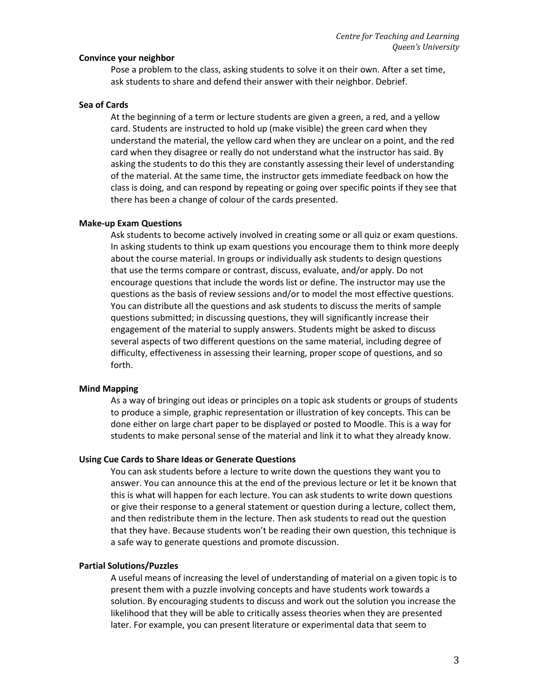#### **Convince your neighbor**

Pose a problem to the class, asking students to solve it on their own. After a set time, ask students to share and defend their answer with their neighbor. Debrief.

#### **Sea of Cards**

At the beginning of a term or lecture students are given a green, a red, and a yellow card. Students are instructed to hold up (make visible) the green card when they understand the material, the yellow card when they are unclear on a point, and the red card when they disagree or really do not understand what the instructor has said. By asking the students to do this they are constantly assessing their level of understanding of the material. At the same time, the instructor gets immediate feedback on how the class is doing, and can respond by repeating or going over specific points if they see that there has been a change of colour of the cards presented.

#### **Make-up Exam Questions**

Ask students to become actively involved in creating some or all quiz or exam questions. In asking students to think up exam questions you encourage them to think more deeply about the course material. In groups or individually ask students to design questions that use the terms compare or contrast, discuss, evaluate, and/or apply. Do not encourage questions that include the words list or define. The instructor may use the questions as the basis of review sessions and/or to model the most effective questions. You can distribute all the questions and ask students to discuss the merits of sample questions submitted; in discussing questions, they will significantly increase their engagement of the material to supply answers. Students might be asked to discuss several aspects of two different questions on the same material, including degree of difficulty, effectiveness in assessing their learning, proper scope of questions, and so forth.

#### **Mind Mapping**

As a way of bringing out ideas or principles on a topic ask students or groups of students to produce a simple, graphic representation or illustration of key concepts. This can be done either on large chart paper to be displayed or posted to Moodle. This is a way for students to make personal sense of the material and link it to what they already know.

#### **Using Cue Cards to Share Ideas or Generate Questions**

You can ask students before a lecture to write down the questions they want you to answer. You can announce this at the end of the previous lecture or let it be known that this is what will happen for each lecture. You can ask students to write down questions or give their response to a general statement or question during a lecture, collect them, and then redistribute them in the lecture. Then ask students to read out the question that they have. Because students won't be reading their own question, this technique is a safe way to generate questions and promote discussion.

#### **Partial Solutions/Puzzles**

A useful means of increasing the level of understanding of material on a given topic is to present them with a puzzle involving concepts and have students work towards a solution. By encouraging students to discuss and work out the solution you increase the likelihood that they will be able to critically assess theories when they are presented later. For example, you can present literature or experimental data that seem to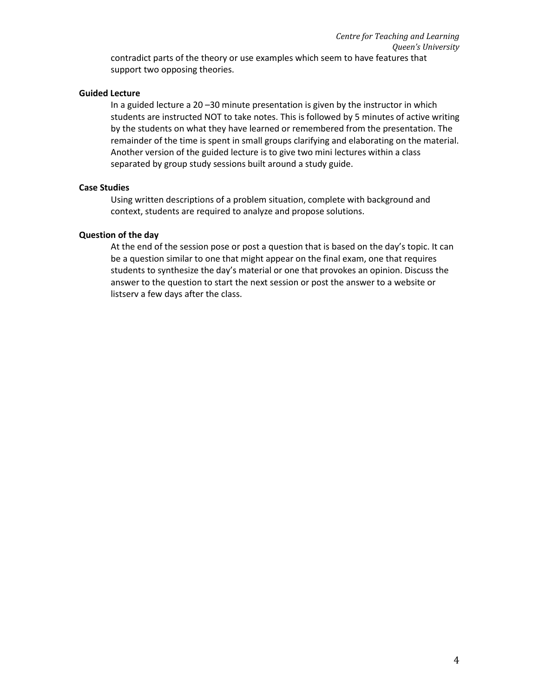#### **Guided Lecture**

support two opposing theories.

In a guided lecture a 20 –30 minute presentation is given by the instructor in which students are instructed NOT to take notes. This is followed by 5 minutes of active writing by the students on what they have learned or remembered from the presentation. The remainder of the time is spent in small groups clarifying and elaborating on the material. Another version of the guided lecture is to give two mini lectures within a class separated by group study sessions built around a study guide.

#### **Case Studies**

Using written descriptions of a problem situation, complete with background and context, students are required to analyze and propose solutions.

#### **Question of the day**

At the end of the session pose or post a question that is based on the day's topic. It can be a question similar to one that might appear on the final exam, one that requires students to synthesize the day's material or one that provokes an opinion. Discuss the answer to the question to start the next session or post the answer to a website or listserv a few days after the class.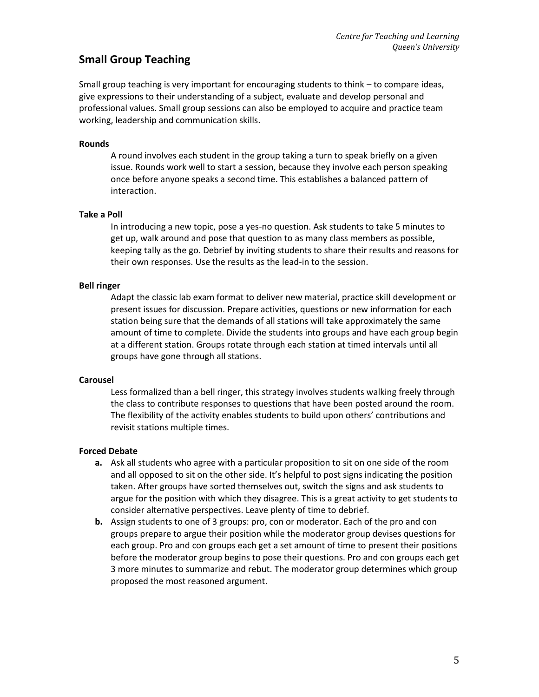# **Small Group Teaching**

Small group teaching is very important for encouraging students to think – to compare ideas, give expressions to their understanding of a subject, evaluate and develop personal and professional values. Small group sessions can also be employed to acquire and practice team working, leadership and communication skills.

#### **Rounds**

A round involves each student in the group taking a turn to speak briefly on a given issue. Rounds work well to start a session, because they involve each person speaking once before anyone speaks a second time. This establishes a balanced pattern of interaction.

#### **Take a Poll**

In introducing a new topic, pose a yes-no question. Ask students to take 5 minutes to get up, walk around and pose that question to as many class members as possible, keeping tally as the go. Debrief by inviting students to share their results and reasons for their own responses. Use the results as the lead-in to the session.

#### **Bell ringer**

Adapt the classic lab exam format to deliver new material, practice skill development or present issues for discussion. Prepare activities, questions or new information for each station being sure that the demands of all stations will take approximately the same amount of time to complete. Divide the students into groups and have each group begin at a different station. Groups rotate through each station at timed intervals until all groups have gone through all stations.

#### **Carousel**

Less formalized than a bell ringer, this strategy involves students walking freely through the class to contribute responses to questions that have been posted around the room. The flexibility of the activity enables students to build upon others' contributions and revisit stations multiple times.

#### **Forced Debate**

- **a.** Ask all students who agree with a particular proposition to sit on one side of the room and all opposed to sit on the other side. It's helpful to post signs indicating the position taken. After groups have sorted themselves out, switch the signs and ask students to argue for the position with which they disagree. This is a great activity to get students to consider alternative perspectives. Leave plenty of time to debrief.
- **b.** Assign students to one of 3 groups: pro, con or moderator. Each of the pro and con groups prepare to argue their position while the moderator group devises questions for each group. Pro and con groups each get a set amount of time to present their positions before the moderator group begins to pose their questions. Pro and con groups each get 3 more minutes to summarize and rebut. The moderator group determines which group proposed the most reasoned argument.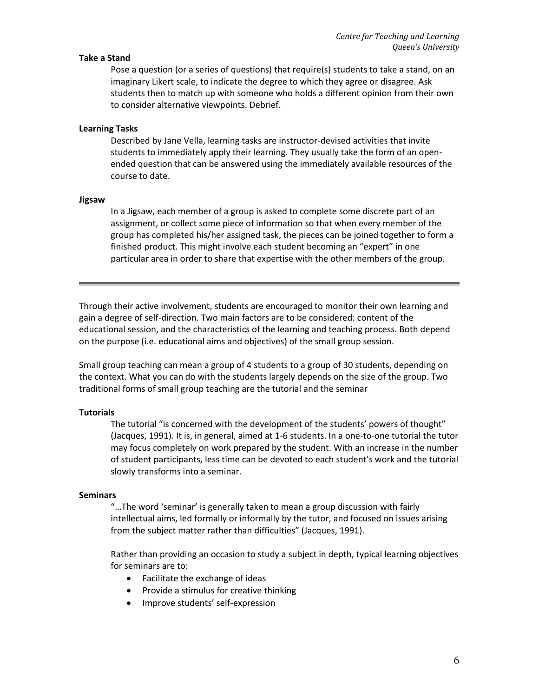#### **Take a Stand**

Pose a question (or a series of questions) that require(s) students to take a stand, on an imaginary Likert scale, to indicate the degree to which they agree or disagree. Ask students then to match up with someone who holds a different opinion from their own to consider alternative viewpoints. Debrief.

#### **Learning Tasks**

Described by Jane Vella, learning tasks are instructor-devised activities that invite students to immediately apply their learning. They usually take the form of an openended question that can be answered using the immediately available resources of the course to date.

#### **Jigsaw**

In a Jigsaw, each member of a group is asked to complete some discrete part of an assignment, or collect some piece of information so that when every member of the group has completed his/her assigned task, the pieces can be joined together to form a finished product. This might involve each student becoming an "expert" in one particular area in order to share that expertise with the other members of the group.

Through their active involvement, students are encouraged to monitor their own learning and gain a degree of self-direction. Two main factors are to be considered: content of the educational session, and the characteristics of the learning and teaching process. Both depend on the purpose (i.e. educational aims and objectives) of the small group session.

Small group teaching can mean a group of 4 students to a group of 30 students, depending on the context. What you can do with the students largely depends on the size of the group. Two traditional forms of small group teaching are the tutorial and the seminar

#### **Tutorials**

The tutorial "is concerned with the development of the students' powers of thought" (Jacques, 1991). It is, in general, aimed at 1-6 students. In a one-to-one tutorial the tutor may focus completely on work prepared by the student. With an increase in the number of student participants, less time can be devoted to each student's work and the tutorial slowly transforms into a seminar.

#### **Seminars**

"…The word 'seminar' is generally taken to mean a group discussion with fairly intellectual aims, led formally or informally by the tutor, and focused on issues arising from the subject matter rather than difficulties" (Jacques, 1991).

Rather than providing an occasion to study a subject in depth, typical learning objectives for seminars are to:

- Facilitate the exchange of ideas
- Provide a stimulus for creative thinking
- Improve students' self-expression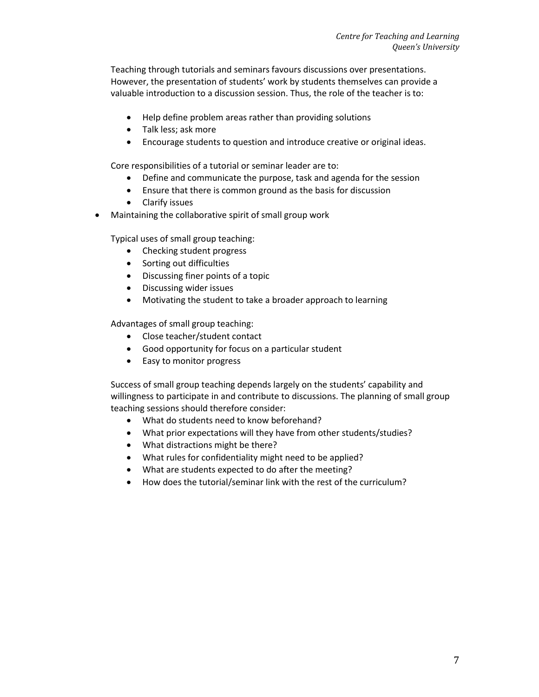Teaching through tutorials and seminars favours discussions over presentations. However, the presentation of students' work by students themselves can provide a valuable introduction to a discussion session. Thus, the role of the teacher is to:

- Help define problem areas rather than providing solutions
- Talk less; ask more
- Encourage students to question and introduce creative or original ideas.

Core responsibilities of a tutorial or seminar leader are to:

- Define and communicate the purpose, task and agenda for the session
- Ensure that there is common ground as the basis for discussion
- Clarify issues
- Maintaining the collaborative spirit of small group work

Typical uses of small group teaching:

- Checking student progress
- Sorting out difficulties
- Discussing finer points of a topic
- Discussing wider issues
- Motivating the student to take a broader approach to learning

Advantages of small group teaching:

- Close teacher/student contact
- Good opportunity for focus on a particular student
- Easy to monitor progress

Success of small group teaching depends largely on the students' capability and willingness to participate in and contribute to discussions. The planning of small group teaching sessions should therefore consider:

- What do students need to know beforehand?
- What prior expectations will they have from other students/studies?
- What distractions might be there?
- What rules for confidentiality might need to be applied?
- What are students expected to do after the meeting?
- How does the tutorial/seminar link with the rest of the curriculum?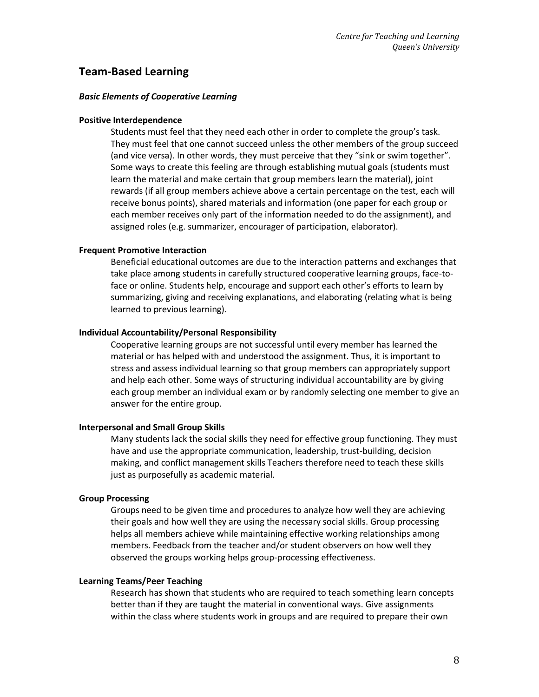# **Team-Based Learning**

#### *Basic Elements of Cooperative Learning*

#### **Positive Interdependence**

Students must feel that they need each other in order to complete the group's task. They must feel that one cannot succeed unless the other members of the group succeed (and vice versa). In other words, they must perceive that they "sink or swim together". Some ways to create this feeling are through establishing mutual goals (students must learn the material and make certain that group members learn the material), joint rewards (if all group members achieve above a certain percentage on the test, each will receive bonus points), shared materials and information (one paper for each group or each member receives only part of the information needed to do the assignment), and assigned roles (e.g. summarizer, encourager of participation, elaborator).

#### **Frequent Promotive Interaction**

Beneficial educational outcomes are due to the interaction patterns and exchanges that take place among students in carefully structured cooperative learning groups, face-toface or online. Students help, encourage and support each other's efforts to learn by summarizing, giving and receiving explanations, and elaborating (relating what is being learned to previous learning).

#### **Individual Accountability/Personal Responsibility**

Cooperative learning groups are not successful until every member has learned the material or has helped with and understood the assignment. Thus, it is important to stress and assess individual learning so that group members can appropriately support and help each other. Some ways of structuring individual accountability are by giving each group member an individual exam or by randomly selecting one member to give an answer for the entire group.

#### **Interpersonal and Small Group Skills**

Many students lack the social skills they need for effective group functioning. They must have and use the appropriate communication, leadership, trust-building, decision making, and conflict management skills Teachers therefore need to teach these skills just as purposefully as academic material.

#### **Group Processing**

Groups need to be given time and procedures to analyze how well they are achieving their goals and how well they are using the necessary social skills. Group processing helps all members achieve while maintaining effective working relationships among members. Feedback from the teacher and/or student observers on how well they observed the groups working helps group-processing effectiveness.

#### **Learning Teams/Peer Teaching**

Research has shown that students who are required to teach something learn concepts better than if they are taught the material in conventional ways. Give assignments within the class where students work in groups and are required to prepare their own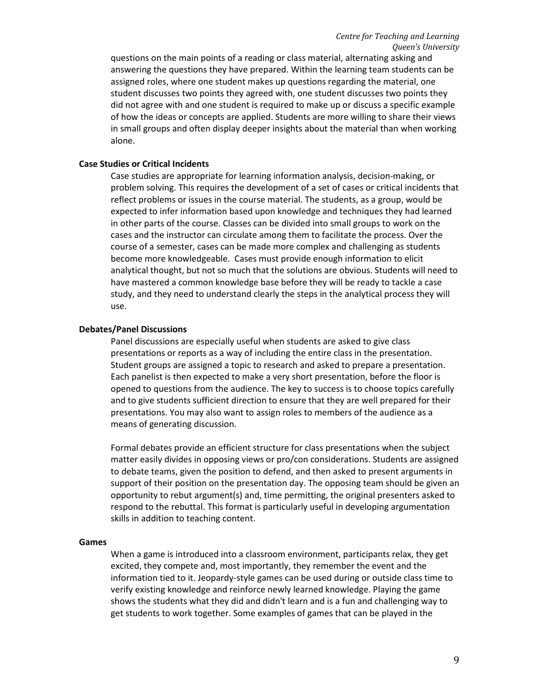questions on the main points of a reading or class material, alternating asking and answering the questions they have prepared. Within the learning team students can be assigned roles, where one student makes up questions regarding the material, one student discusses two points they agreed with, one student discusses two points they did not agree with and one student is required to make up or discuss a specific example of how the ideas or concepts are applied. Students are more willing to share their views in small groups and often display deeper insights about the material than when working alone.

#### **Case Studies or Critical Incidents**

Case studies are appropriate for learning information analysis, decision-making, or problem solving. This requires the development of a set of cases or critical incidents that reflect problems or issues in the course material. The students, as a group, would be expected to infer information based upon knowledge and techniques they had learned in other parts of the course. Classes can be divided into small groups to work on the cases and the instructor can circulate among them to facilitate the process. Over the course of a semester, cases can be made more complex and challenging as students become more knowledgeable. Cases must provide enough information to elicit analytical thought, but not so much that the solutions are obvious. Students will need to have mastered a common knowledge base before they will be ready to tackle a case study, and they need to understand clearly the steps in the analytical process they will use.

#### **Debates/Panel Discussions**

Panel discussions are especially useful when students are asked to give class presentations or reports as a way of including the entire class in the presentation. Student groups are assigned a topic to research and asked to prepare a presentation. Each panelist is then expected to make a very short presentation, before the floor is opened to questions from the audience. The key to success is to choose topics carefully and to give students sufficient direction to ensure that they are well prepared for their presentations. You may also want to assign roles to members of the audience as a means of generating discussion.

Formal debates provide an efficient structure for class presentations when the subject matter easily divides in opposing views or pro/con considerations. Students are assigned to debate teams, given the position to defend, and then asked to present arguments in support of their position on the presentation day. The opposing team should be given an opportunity to rebut argument(s) and, time permitting, the original presenters asked to respond to the rebuttal. This format is particularly useful in developing argumentation skills in addition to teaching content.

#### **Games**

When a game is introduced into a classroom environment, participants relax, they get excited, they compete and, most importantly, they remember the event and the information tied to it. Jeopardy-style games can be used during or outside class time to verify existing knowledge and reinforce newly learned knowledge. Playing the game shows the students what they did and didn't learn and is a fun and challenging way to get students to work together. Some examples of games that can be played in the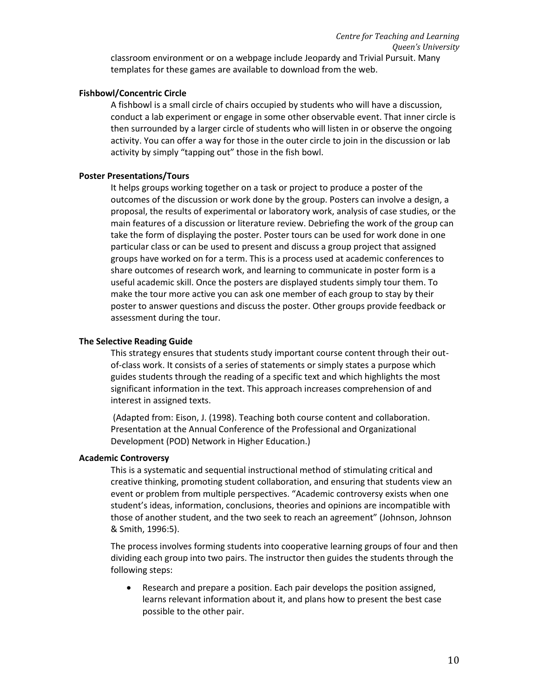#### **Fishbowl/Concentric Circle**

A fishbowl is a small circle of chairs occupied by students who will have a discussion, conduct a lab experiment or engage in some other observable event. That inner circle is then surrounded by a larger circle of students who will listen in or observe the ongoing activity. You can offer a way for those in the outer circle to join in the discussion or lab activity by simply "tapping out" those in the fish bowl.

#### **Poster Presentations/Tours**

It helps groups working together on a task or project to produce a poster of the outcomes of the discussion or work done by the group. Posters can involve a design, a proposal, the results of experimental or laboratory work, analysis of case studies, or the main features of a discussion or literature review. Debriefing the work of the group can take the form of displaying the poster. Poster tours can be used for work done in one particular class or can be used to present and discuss a group project that assigned groups have worked on for a term. This is a process used at academic conferences to share outcomes of research work, and learning to communicate in poster form is a useful academic skill. Once the posters are displayed students simply tour them. To make the tour more active you can ask one member of each group to stay by their poster to answer questions and discuss the poster. Other groups provide feedback or assessment during the tour.

#### **The Selective Reading Guide**

This strategy ensures that students study important course content through their outof-class work. It consists of a series of statements or simply states a purpose which guides students through the reading of a specific text and which highlights the most significant information in the text. This approach increases comprehension of and interest in assigned texts.

(Adapted from: Eison, J. (1998). Teaching both course content and collaboration. Presentation at the Annual Conference of the Professional and Organizational Development (POD) Network in Higher Education.)

### **Academic Controversy**

This is a systematic and sequential instructional method of stimulating critical and creative thinking, promoting student collaboration, and ensuring that students view an event or problem from multiple perspectives. "Academic controversy exists when one student's ideas, information, conclusions, theories and opinions are incompatible with those of another student, and the two seek to reach an agreement" (Johnson, Johnson & Smith, 1996:5).

The process involves forming students into cooperative learning groups of four and then dividing each group into two pairs. The instructor then guides the students through the following steps:

 Research and prepare a position. Each pair develops the position assigned, learns relevant information about it, and plans how to present the best case possible to the other pair.